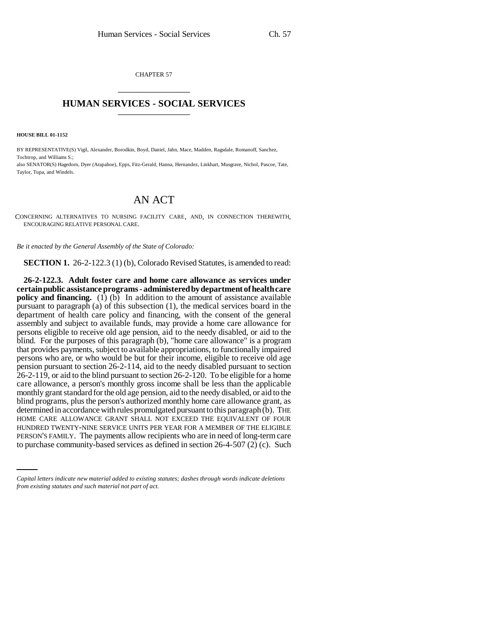CHAPTER 57 \_\_\_\_\_\_\_\_\_\_\_\_\_\_\_

## **HUMAN SERVICES - SOCIAL SERVICES** \_\_\_\_\_\_\_\_\_\_\_\_\_\_\_

**HOUSE BILL 01-1152**

BY REPRESENTATIVE(S) Vigil, Alexander, Borodkin, Boyd, Daniel, Jahn, Mace, Madden, Ragsdale, Romanoff, Sanchez, Tochtrop, and Williams S.; also SENATOR(S) Hagedorn, Dyer (Arapahoe), Epps, Fitz-Gerald, Hanna, Hernandez, Linkhart, Musgrave, Nichol, Pascoe, Tate, Taylor, Tupa, and Windels.

## AN ACT

CONCERNING ALTERNATIVES TO NURSING FACILITY CARE, AND, IN CONNECTION THEREWITH, ENCOURAGING RELATIVE PERSONAL CARE.

*Be it enacted by the General Assembly of the State of Colorado:*

**SECTION 1.** 26-2-122.3 (1) (b), Colorado Revised Statutes, is amended to read:

HUNDRED TWENTY-NINE SERVICE UNITS PER YEAR FOR A MEMBER OF THE ELIGIBLE **26-2-122.3. Adult foster care and home care allowance as services under certain public assistance programs - administered by department of health care policy and financing.** (1) (b) In addition to the amount of assistance available pursuant to paragraph (a) of this subsection (1), the medical services board in the department of health care policy and financing, with the consent of the general assembly and subject to available funds, may provide a home care allowance for persons eligible to receive old age pension, aid to the needy disabled, or aid to the blind. For the purposes of this paragraph (b), "home care allowance" is a program that provides payments, subject to available appropriations, to functionally impaired persons who are, or who would be but for their income, eligible to receive old age pension pursuant to section 26-2-114, aid to the needy disabled pursuant to section 26-2-119, or aid to the blind pursuant to section 26-2-120. To be eligible for a home care allowance, a person's monthly gross income shall be less than the applicable monthly grant standard for the old age pension, aid to the needy disabled, or aid to the blind programs, plus the person's authorized monthly home care allowance grant, as determined in accordance with rules promulgated pursuant to this paragraph (b). THE HOME CARE ALLOWANCE GRANT SHALL NOT EXCEED THE EQUIVALENT OF FOUR PERSON'S FAMILY. The payments allow recipients who are in need of long-term care to purchase community-based services as defined in section  $26-4-507$  (2) (c). Such

*Capital letters indicate new material added to existing statutes; dashes through words indicate deletions from existing statutes and such material not part of act.*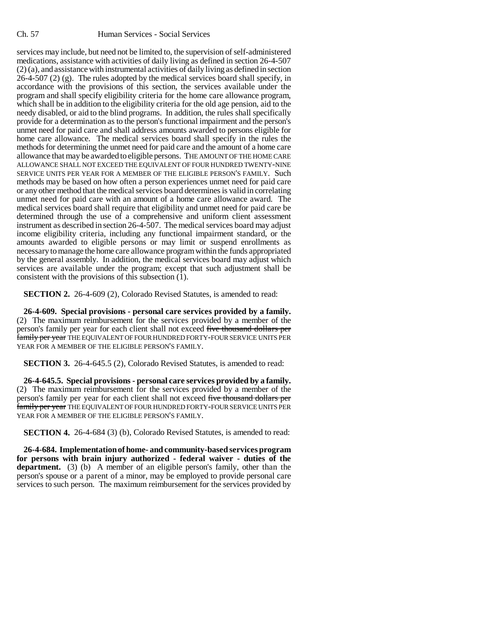services may include, but need not be limited to, the supervision of self-administered medications, assistance with activities of daily living as defined in section 26-4-507 (2) (a), and assistance with instrumental activities of daily living as defined in section 26-4-507 (2) (g). The rules adopted by the medical services board shall specify, in accordance with the provisions of this section, the services available under the program and shall specify eligibility criteria for the home care allowance program, which shall be in addition to the eligibility criteria for the old age pension, aid to the needy disabled, or aid to the blind programs. In addition, the rules shall specifically provide for a determination as to the person's functional impairment and the person's unmet need for paid care and shall address amounts awarded to persons eligible for home care allowance. The medical services board shall specify in the rules the methods for determining the unmet need for paid care and the amount of a home care allowance that may be awarded to eligible persons. THE AMOUNT OF THE HOME CARE ALLOWANCE SHALL NOT EXCEED THE EQUIVALENT OF FOUR HUNDRED TWENTY-NINE SERVICE UNITS PER YEAR FOR A MEMBER OF THE ELIGIBLE PERSON'S FAMILY. Such methods may be based on how often a person experiences unmet need for paid care or any other method that the medical services board determines is valid in correlating unmet need for paid care with an amount of a home care allowance award. The medical services board shall require that eligibility and unmet need for paid care be determined through the use of a comprehensive and uniform client assessment instrument as described in section 26-4-507. The medical services board may adjust income eligibility criteria, including any functional impairment standard, or the amounts awarded to eligible persons or may limit or suspend enrollments as necessary to manage the home care allowance program within the funds appropriated by the general assembly. In addition, the medical services board may adjust which services are available under the program; except that such adjustment shall be consistent with the provisions of this subsection  $(1)$ .

**SECTION 2.** 26-4-609 (2), Colorado Revised Statutes, is amended to read:

**26-4-609. Special provisions - personal care services provided by a family.** (2) The maximum reimbursement for the services provided by a member of the person's family per year for each client shall not exceed five thousand dollars per family per year THE EQUIVALENT OF FOUR HUNDRED FORTY-FOUR SERVICE UNITS PER YEAR FOR A MEMBER OF THE ELIGIBLE PERSON'S FAMILY.

**SECTION 3.** 26-4-645.5 (2), Colorado Revised Statutes, is amended to read:

**26-4-645.5. Special provisions - personal care services provided by a family.** (2) The maximum reimbursement for the services provided by a member of the person's family per year for each client shall not exceed five thousand dollars per family per year THE EQUIVALENT OF FOUR HUNDRED FORTY-FOUR SERVICE UNITS PER YEAR FOR A MEMBER OF THE ELIGIBLE PERSON'S FAMILY.

**SECTION 4.** 26-4-684 (3) (b), Colorado Revised Statutes, is amended to read:

**26-4-684. Implementation of home- and community-based services program for persons with brain injury authorized - federal waiver - duties of the department.** (3) (b) A member of an eligible person's family, other than the person's spouse or a parent of a minor, may be employed to provide personal care services to such person. The maximum reimbursement for the services provided by